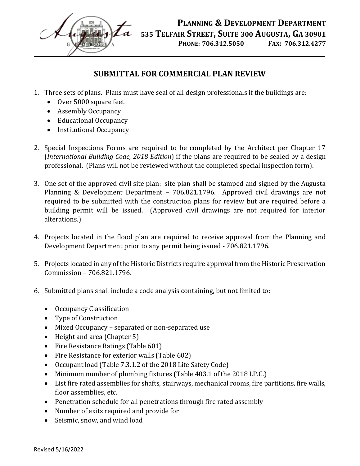

 **PLANNING & DEVELOPMENT DEPARTMENT 535 TELFAIR STREET, SUITE 300 AUGUSTA, GA 30901 PHONE: 706.312.5050 FAX: 706.312.4277**

## **SUBMITTAL FOR COMMERCIAL PLAN REVIEW**

- 1. Three sets of plans. Plans must have seal of all design professionals if the buildings are:
	- Over 5000 square feet
	- Assembly Occupancy
	- Educational Occupancy
	- Institutional Occupancy
- 2. Special Inspections Forms are required to be completed by the Architect per Chapter 17 (*International Building Code, 2018 Edition*) if the plans are required to be sealed by a design professional. (Plans will not be reviewed without the completed special inspection form).
- 3. One set of the approved civil site plan: site plan shall be stamped and signed by the Augusta Planning & Development Department – 706.821.1796. Approved civil drawings are not required to be submitted with the construction plans for review but are required before a building permit will be issued. (Approved civil drawings are not required for interior alterations.)
- 4. Projects located in the flood plan are required to receive approval from the Planning and Development Department prior to any permit being issued - 706.821.1796.
- 5. Projects located in any of the Historic Districts require approval from the Historic Preservation Commission – 706.821.1796.
- 6. Submitted plans shall include a code analysis containing, but not limited to:
	- Occupancy Classification
	- Type of Construction
	- Mixed Occupancy separated or non-separated use
	- Height and area (Chapter 5)
	- Fire Resistance Ratings (Table 601)
	- Fire Resistance for exterior walls (Table 602)
	- Occupant load (Table 7.3.1.2 of the 2018 Life Safety Code)
	- Minimum number of plumbing fixtures (Table 403.1 of the 2018 I.P.C.)
	- List fire rated assemblies for shafts, stairways, mechanical rooms, fire partitions, fire walls, floor assemblies, etc.
	- Penetration schedule for all penetrations through fire rated assembly
	- Number of exits required and provide for
	- Seismic, snow, and wind load